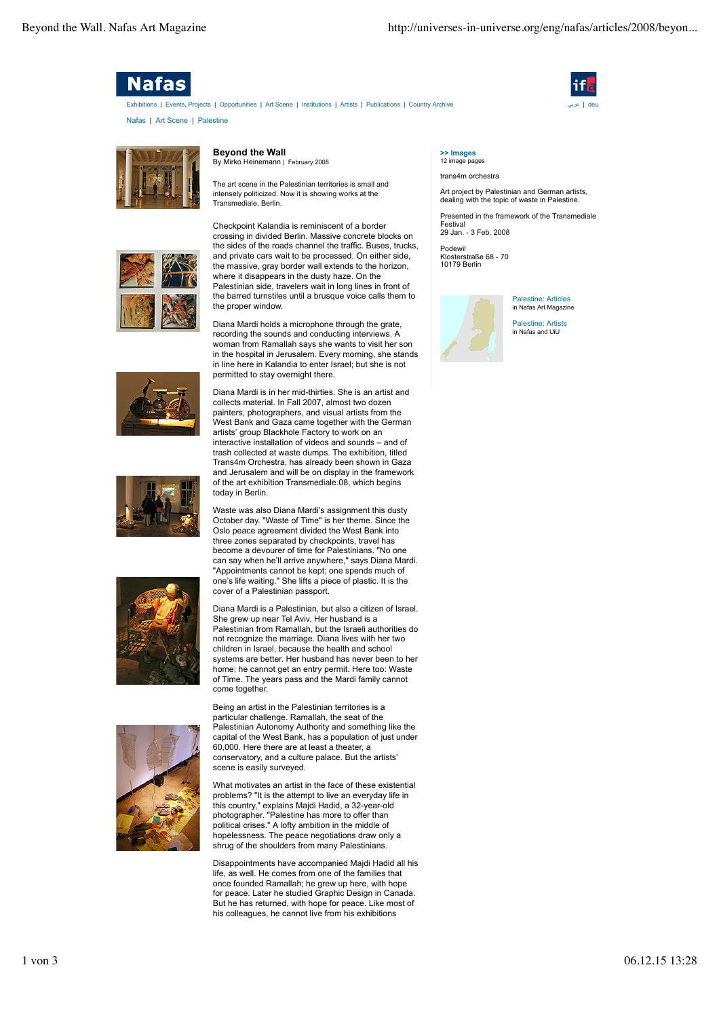

Nafas | Art Scene | Palestine Exhibitions | Events, Projects | Opportunities | Art Scene | Institutions | Artists | Publications | Country Archive





## **Beyond the Wall**

By Mirko Heinemann | February 2008

The art scene in the Palestinian territories is small and intensely politicized. Now it is showing works at the Transmediale, Berlin.











Checkpoint Kalandia is reminiscent of a border crossing in divided Berlin. Massive concrete blocks on the sides of the roads channel the traffic. Buses, trucks, and private cars wait to be processed. On either side, the massive, gray border wall extends to the horizon, where it disappears in the dusty haze. On the Palestinian side, travelers wait in long lines in front of the barred turnstiles until a brusque voice calls them to the proper window.

Diana Mardi holds a microphone through the grate, recording the sounds and conducting interviews. A woman from Ramallah says she wants to visit her son in the hospital in Jerusalem. Every morning, she stands in line here in Kalandia to enter Israel; but she is not permitted to stay overnight there.

Diana Mardi is in her mid-thirties. She is an artist and collects material. In Fall 2007, almost two dozen painters, photographers, and visual artists from the West Bank and Gaza came together with the German artists' group Blackhole Factory to work on an interactive installation of videos and sounds – and of trash collected at waste dumps. The exhibition, titled Trans4m Orchestra, has already been shown in Gaza and Jerusalem and will be on display in the framework of the art exhibition Transmediale.08, which begins today in Berlin.

Waste was also Diana Mardi's assignment this dusty October day. "Waste of Time" is her theme. Since the Oslo peace agreement divided the West Bank into three zones separated by checkpoints, travel has become a devourer of time for Palestinians. "No one can say when he'll arrive anywhere," says Diana Mardi. "Appointments cannot be kept; one spends much of one's life waiting." She lifts a piece of plastic. It is the cover of a Palestinian passport.

Diana Mardi is a Palestinian, but also a citizen of Israel. She grew up near Tel Aviv. Her husband is a Palestinian from Ramallah, but the Israeli authorities do not recognize the marriage. Diana lives with her two children in Israel, because the health and school systems are better. Her husband has never been to her home; he cannot get an entry permit. Here too: Waste of Time. The years pass and the Mardi family cannot come together.

Being an artist in the Palestinian territories is a particular challenge. Ramallah, the seat of the Palestinian Autonomy Authority and something like the capital of the West Bank, has a population of just under 60,000. Here there are at least a theater, a conservatory, and a culture palace. But the artists' scene is easily surveyed.

What motivates an artist in the face of these existential problems? "It is the attempt to live an everyday life in this country," explains Majdi Hadid, a 32-year-old photographer. "Palestine has more to offer than political crises." A lofty ambition in the middle of hopelessness. The peace negotiations draw only a shrug of the shoulders from many Palestinians.

Disappointments have accompanied Majdi Hadid all his life, as well. He comes from one of the families that once founded Ramallah; he grew up here, with hope for peace. Later he studied Graphic Design in Canada. But he has returned, with hope for peace. Like most of his colleagues, he cannot live from his exhibitions

## **>> Images** 12 image pages

trans4m orchestra

Art project by Palestinian and German artists, dealing with the topic of waste in Palestine.

Presented in the framework of the Transmediale Festival 29 Jan. - 3 Feb. 2008

Podewil Klosterstraße 68 - 70 10179 Berlin



Palestine: Articles in Nafas Art Magazine

Palestine: Artists in Nafas and UiU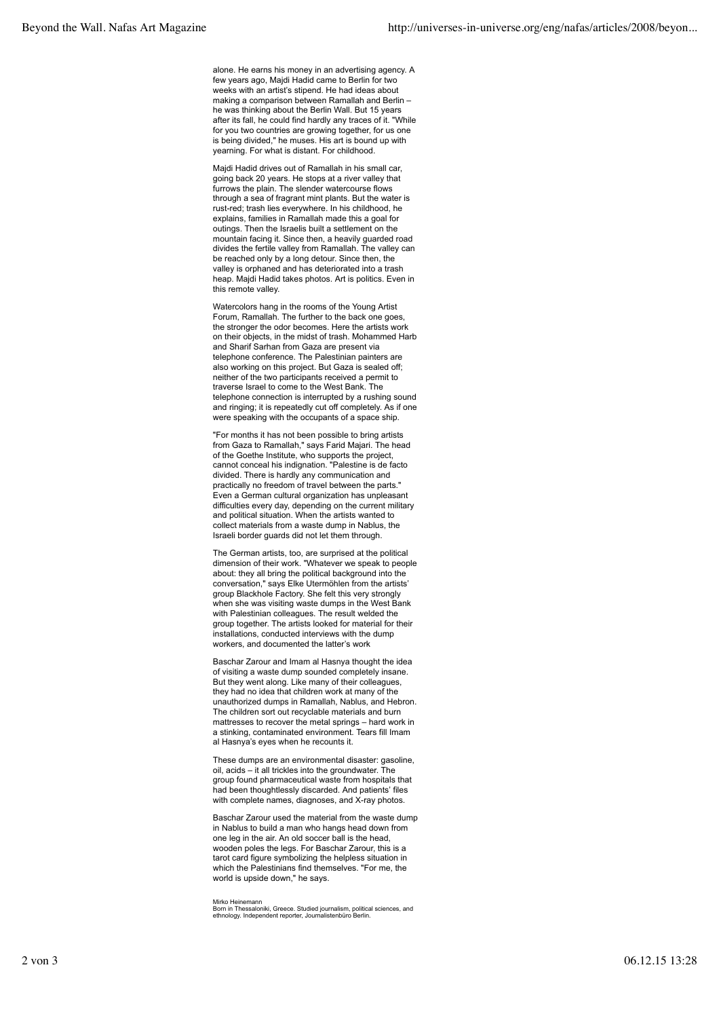alone. He earns his money in an advertising agency. A few years ago, Majdi Hadid came to Berlin for two weeks with an artist's stipend. He had ideas about making a comparison between Ramallah and Berlin – he was thinking about the Berlin Wall. But 15 years after its fall, he could find hardly any traces of it. "While for you two countries are growing together, for us one is being divided," he muses. His art is bound up with yearning. For what is distant. For childhood.

Majdi Hadid drives out of Ramallah in his small car, going back 20 years. He stops at a river valley that furrows the plain. The slender watercourse flows through a sea of fragrant mint plants. But the water is rust-red; trash lies everywhere. In his childhood, he explains, families in Ramallah made this a goal for outings. Then the Israelis built a settlement on the mountain facing it. Since then, a heavily guarded road divides the fertile valley from Ramallah. The valley can be reached only by a long detour. Since then, the valley is orphaned and has deteriorated into a trash heap. Majdi Hadid takes photos. Art is politics. Even in this remote valley.

Watercolors hang in the rooms of the Young Artist Forum, Ramallah. The further to the back one goes, the stronger the odor becomes. Here the artists work on their objects, in the midst of trash. Mohammed Harb and Sharif Sarhan from Gaza are present via telephone conference. The Palestinian painters are also working on this project. But Gaza is sealed off; neither of the two participants received a permit to traverse Israel to come to the West Bank. The telephone connection is interrupted by a rushing sound and ringing; it is repeatedly cut off completely. As if one were speaking with the occupants of a space ship.

"For months it has not been possible to bring artists from Gaza to Ramallah," says Farid Majari. The head of the Goethe Institute, who supports the project, cannot conceal his indignation. "Palestine is de facto divided. There is hardly any communication and practically no freedom of travel between the parts." Even a German cultural organization has unpleasant difficulties every day, depending on the current military and political situation. When the artists wanted to collect materials from a waste dump in Nablus, the Israeli border guards did not let them through.

The German artists, too, are surprised at the political dimension of their work. "Whatever we speak to people about: they all bring the political background into the conversation," says Elke Utermöhlen from the artists' group Blackhole Factory. She felt this very strongly when she was visiting waste dumps in the West Bank with Palestinian colleagues. The result welded the group together. The artists looked for material for their installations, conducted interviews with the dump workers, and documented the latter's work

Baschar Zarour and Imam al Hasnya thought the idea of visiting a waste dump sounded completely insane. But they went along. Like many of their colleagues, they had no idea that children work at many of the unauthorized dumps in Ramallah, Nablus, and Hebron. The children sort out recyclable materials and burn mattresses to recover the metal springs – hard work in a stinking, contaminated environment. Tears fill Imam al Hasnya's eyes when he recounts it.

These dumps are an environmental disaster: gasoline, oil, acids – it all trickles into the groundwater. The group found pharmaceutical waste from hospitals that had been thoughtlessly discarded. And patients' files with complete names, diagnoses, and X-ray photos.

Baschar Zarour used the material from the waste dump in Nablus to build a man who hangs head down from one leg in the air. An old soccer ball is the head, wooden poles the legs. For Baschar Zarour, this is a tarot card figure symbolizing the helpless situation in which the Palestinians find themselves. "For me, the world is upside down," he says.

Mirko Heinemann<br>Born in Thessaloniki, Greece. Studied journalism, political sciences, and<br>ethnology. Independent reporter, Journalistenbüro Berlin.